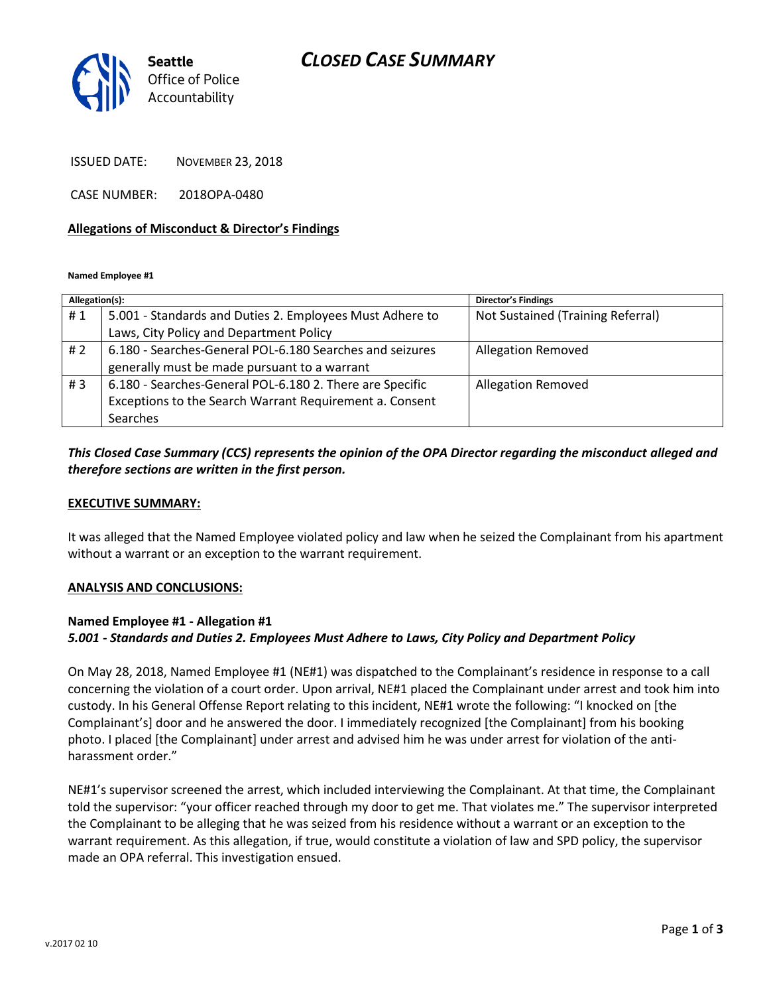# *CLOSED CASE SUMMARY*



ISSUED DATE: NOVEMBER 23, 2018

CASE NUMBER: 2018OPA-0480

#### **Allegations of Misconduct & Director's Findings**

**Named Employee #1**

| Allegation(s): |                                                          | <b>Director's Findings</b>        |
|----------------|----------------------------------------------------------|-----------------------------------|
| #1             | 5.001 - Standards and Duties 2. Employees Must Adhere to | Not Sustained (Training Referral) |
|                | Laws, City Policy and Department Policy                  |                                   |
| #2             | 6.180 - Searches-General POL-6.180 Searches and seizures | <b>Allegation Removed</b>         |
|                | generally must be made pursuant to a warrant             |                                   |
| #3             | 6.180 - Searches-General POL-6.180 2. There are Specific | <b>Allegation Removed</b>         |
|                | Exceptions to the Search Warrant Requirement a. Consent  |                                   |
|                | Searches                                                 |                                   |

### *This Closed Case Summary (CCS) represents the opinion of the OPA Director regarding the misconduct alleged and therefore sections are written in the first person.*

### **EXECUTIVE SUMMARY:**

It was alleged that the Named Employee violated policy and law when he seized the Complainant from his apartment without a warrant or an exception to the warrant requirement.

#### **ANALYSIS AND CONCLUSIONS:**

### **Named Employee #1 - Allegation #1** *5.001 - Standards and Duties 2. Employees Must Adhere to Laws, City Policy and Department Policy*

On May 28, 2018, Named Employee #1 (NE#1) was dispatched to the Complainant's residence in response to a call concerning the violation of a court order. Upon arrival, NE#1 placed the Complainant under arrest and took him into custody. In his General Offense Report relating to this incident, NE#1 wrote the following: "I knocked on [the Complainant's] door and he answered the door. I immediately recognized [the Complainant] from his booking photo. I placed [the Complainant] under arrest and advised him he was under arrest for violation of the antiharassment order."

NE#1's supervisor screened the arrest, which included interviewing the Complainant. At that time, the Complainant told the supervisor: "your officer reached through my door to get me. That violates me." The supervisor interpreted the Complainant to be alleging that he was seized from his residence without a warrant or an exception to the warrant requirement. As this allegation, if true, would constitute a violation of law and SPD policy, the supervisor made an OPA referral. This investigation ensued.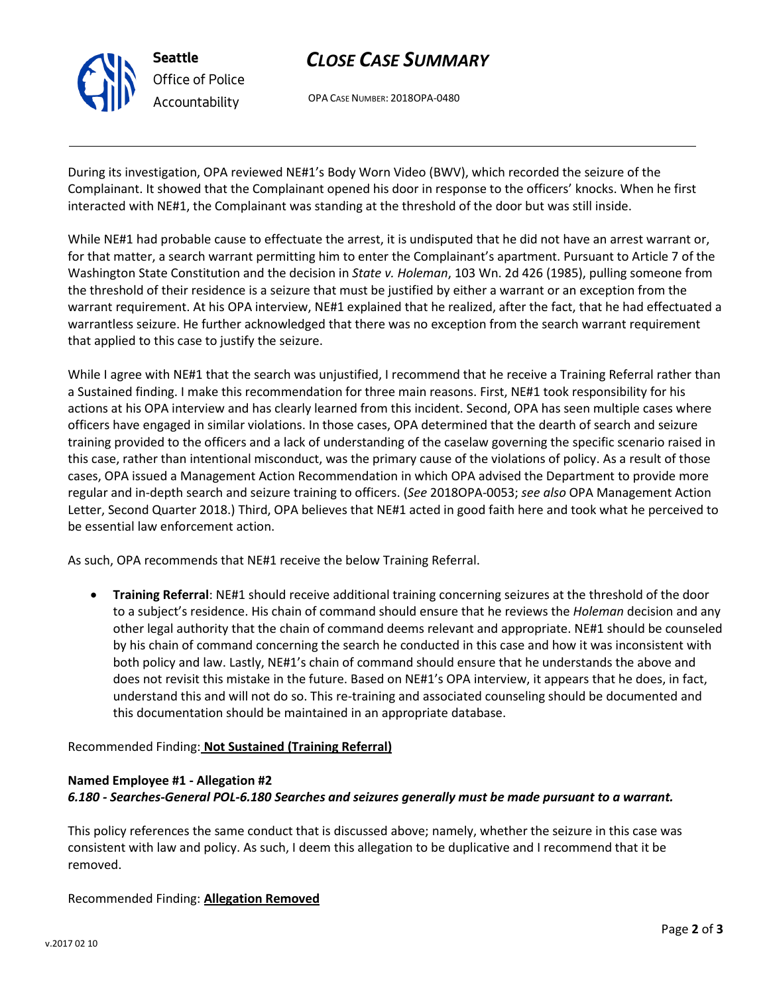

# *CLOSE CASE SUMMARY*

OPA CASE NUMBER: 2018OPA-0480

During its investigation, OPA reviewed NE#1's Body Worn Video (BWV), which recorded the seizure of the Complainant. It showed that the Complainant opened his door in response to the officers' knocks. When he first interacted with NE#1, the Complainant was standing at the threshold of the door but was still inside.

While NE#1 had probable cause to effectuate the arrest, it is undisputed that he did not have an arrest warrant or, for that matter, a search warrant permitting him to enter the Complainant's apartment. Pursuant to Article 7 of the Washington State Constitution and the decision in *State v. Holeman*, 103 Wn. 2d 426 (1985), pulling someone from the threshold of their residence is a seizure that must be justified by either a warrant or an exception from the warrant requirement. At his OPA interview, NE#1 explained that he realized, after the fact, that he had effectuated a warrantless seizure. He further acknowledged that there was no exception from the search warrant requirement that applied to this case to justify the seizure.

While I agree with NE#1 that the search was unjustified, I recommend that he receive a Training Referral rather than a Sustained finding. I make this recommendation for three main reasons. First, NE#1 took responsibility for his actions at his OPA interview and has clearly learned from this incident. Second, OPA has seen multiple cases where officers have engaged in similar violations. In those cases, OPA determined that the dearth of search and seizure training provided to the officers and a lack of understanding of the caselaw governing the specific scenario raised in this case, rather than intentional misconduct, was the primary cause of the violations of policy. As a result of those cases, OPA issued a Management Action Recommendation in which OPA advised the Department to provide more regular and in-depth search and seizure training to officers. (*See* 2018OPA-0053; *see also* OPA Management Action Letter, Second Quarter 2018.) Third, OPA believes that NE#1 acted in good faith here and took what he perceived to be essential law enforcement action.

As such, OPA recommends that NE#1 receive the below Training Referral.

• **Training Referral**: NE#1 should receive additional training concerning seizures at the threshold of the door to a subject's residence. His chain of command should ensure that he reviews the *Holeman* decision and any other legal authority that the chain of command deems relevant and appropriate. NE#1 should be counseled by his chain of command concerning the search he conducted in this case and how it was inconsistent with both policy and law. Lastly, NE#1's chain of command should ensure that he understands the above and does not revisit this mistake in the future. Based on NE#1's OPA interview, it appears that he does, in fact, understand this and will not do so. This re-training and associated counseling should be documented and this documentation should be maintained in an appropriate database.

## Recommended Finding: **Not Sustained (Training Referral)**

# **Named Employee #1 - Allegation #2**

### *6.180 - Searches-General POL-6.180 Searches and seizures generally must be made pursuant to a warrant.*

This policy references the same conduct that is discussed above; namely, whether the seizure in this case was consistent with law and policy. As such, I deem this allegation to be duplicative and I recommend that it be removed.

Recommended Finding: **Allegation Removed**